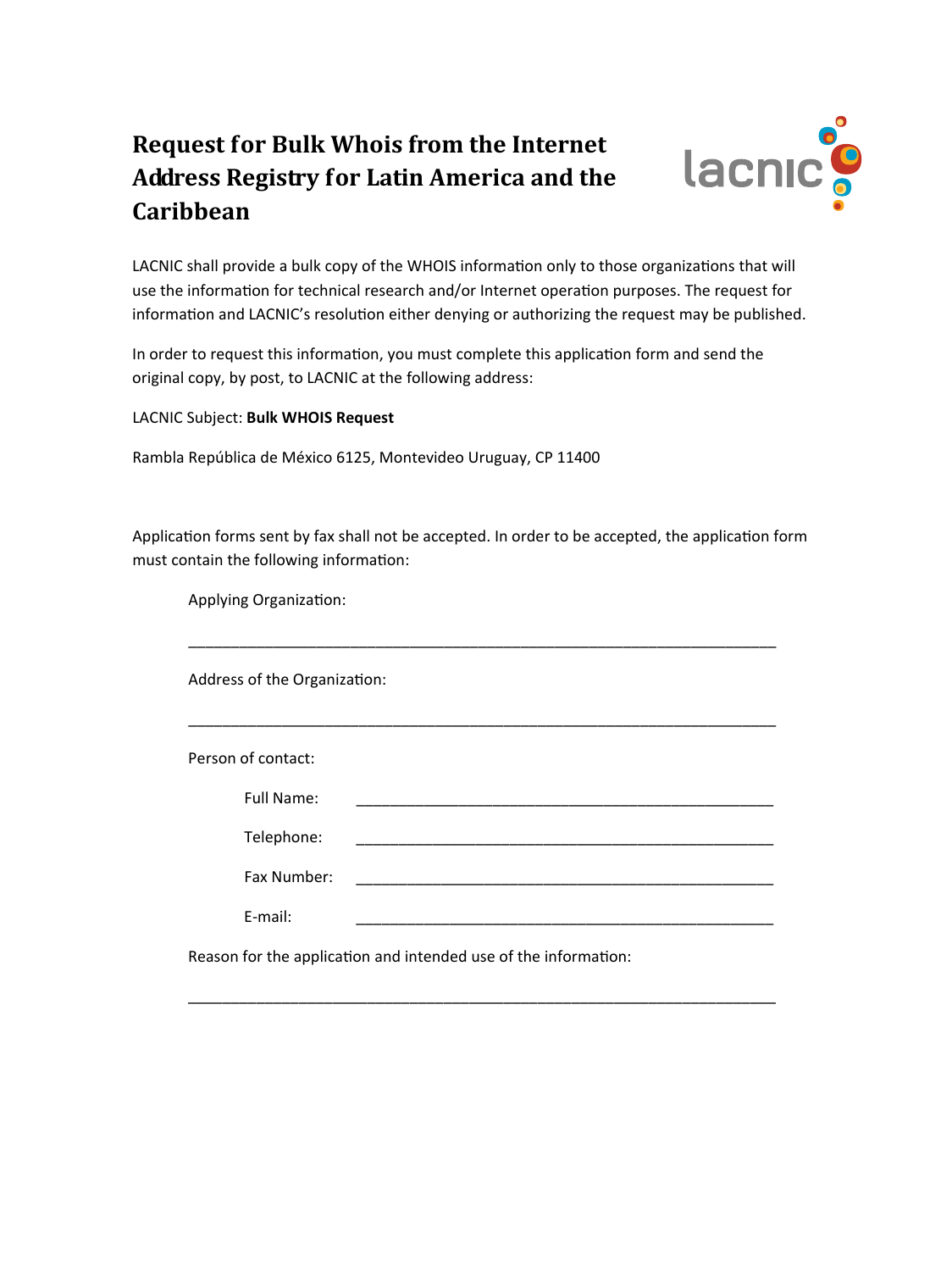## **Request for Bulk Whois from the Internet Address Registry for Latin America and the Caribbean**



LACNIC shall provide a bulk copy of the WHOIS information only to those organizations that will use the information for technical research and/or Internet operation purposes. The request for information and LACNIC's resolution either denying or authorizing the request may be published.

In order to request this information, you must complete this application form and send the original copy, by post, to LACNIC at the following address:

LACNIC Subject: **Bulk WHOIS Request**

Rambla República de México 6125, Montevideo Uruguay, CP 11400

Application forms sent by fax shall not be accepted. In order to be accepted, the application form must contain the following information:

\_\_\_\_\_\_\_\_\_\_\_\_\_\_\_\_\_\_\_\_\_\_\_\_\_\_\_\_\_\_\_\_\_\_\_\_\_\_\_\_\_\_\_\_\_\_\_\_\_\_\_\_\_\_\_\_\_\_\_\_\_\_\_\_\_\_\_\_\_

Applying Organization:

Address of the Organization:

| Person of contact: |                                                                                                                      |  |
|--------------------|----------------------------------------------------------------------------------------------------------------------|--|
| Full Name:         |                                                                                                                      |  |
| Telephone:         |                                                                                                                      |  |
| Fax Number:        | <u> 2000 - 2000 - 2000 - 2000 - 2000 - 2000 - 2000 - 2000 - 2000 - 2000 - 2000 - 2000 - 2000 - 2000 - 2000 - 200</u> |  |
| E-mail:            |                                                                                                                      |  |

\_\_\_\_\_\_\_\_\_\_\_\_\_\_\_\_\_\_\_\_\_\_\_\_\_\_\_\_\_\_\_\_\_\_\_\_\_\_\_\_\_\_\_\_\_\_\_\_\_\_\_\_\_\_\_\_\_\_\_\_\_\_\_\_\_\_\_\_\_

Reason for the application and intended use of the information: